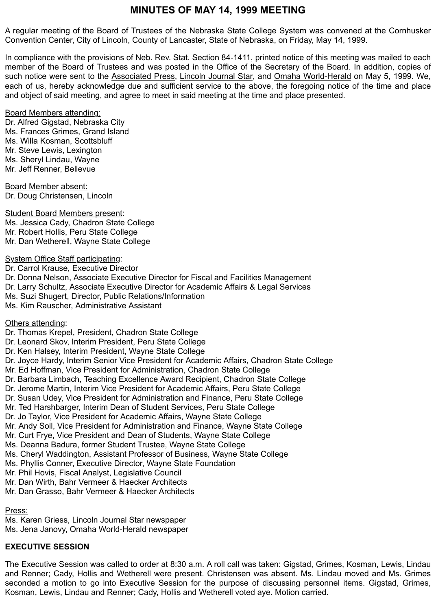# **MINUTES OF MAY 14, 1999 MEETING**

A regular meeting of the Board of Trustees of the Nebraska State College System was convened at the Cornhusker Convention Center, City of Lincoln, County of Lancaster, State of Nebraska, on Friday, May 14, 1999.

In compliance with the provisions of Neb. Rev. Stat. Section 84-1411, printed notice of this meeting was mailed to each member of the Board of Trustees and was posted in the Office of the Secretary of the Board. In addition, copies of such notice were sent to the Associated Press, Lincoln Journal Star, and Omaha World-Herald on May 5, 1999. We, each of us, hereby acknowledge due and sufficient service to the above, the foregoing notice of the time and place and object of said meeting, and agree to meet in said meeting at the time and place presented.

#### **Board Members attending:**

Dr. Alfred Gigstad, Nebraska City Ms. Frances Grimes, Grand Island Ms. Willa Kosman, Scottsbluff Mr. Steve Lewis, Lexington Ms. Sheryl Lindau, Wayne Mr. Jeff Renner, Bellevue

Board Member absent: Dr. Doug Christensen, Lincoln

Student Board Members present: Ms. Jessica Cady, Chadron State College Mr. Robert Hollis, Peru State College Mr. Dan Wetherell, Wayne State College

#### System Office Staff participating:

Dr. Carrol Krause, Executive Director Dr. Donna Nelson, Associate Executive Director for Fiscal and Facilities Management Dr. Larry Schultz, Associate Executive Director for Academic Affairs & Legal Services Ms. Suzi Shugert, Director, Public Relations/Information Ms. Kim Rauscher, Administrative Assistant

Others attending:

Dr. Thomas Krepel, President, Chadron State College Dr. Leonard Skov, Interim President, Peru State College Dr. Ken Halsey, Interim President, Wayne State College Dr. Joyce Hardy, Interim Senior Vice President for Academic Affairs, Chadron State College Mr. Ed Hoffman, Vice President for Administration, Chadron State College Dr. Barbara Limbach, Teaching Excellence Award Recipient, Chadron State College Dr. Jerome Martin, Interim Vice President for Academic Affairs, Peru State College Dr. Susan Udey, Vice President for Administration and Finance, Peru State College Mr. Ted Harshbarger, Interim Dean of Student Services, Peru State College Dr. Jo Taylor, Vice President for Academic Affairs, Wayne State College Mr. Andy Soll, Vice President for Administration and Finance, Wayne State College Mr. Curt Frye, Vice President and Dean of Students, Wayne State College Ms. Deanna Badura, former Student Trustee, Wayne State College Ms. Cheryl Waddington, Assistant Professor of Business, Wayne State College Ms. Phyllis Conner, Executive Director, Wayne State Foundation Mr. Phil Hovis, Fiscal Analyst, Legislative Council Mr. Dan Wirth, Bahr Vermeer & Haecker Architects Mr. Dan Grasso, Bahr Vermeer & Haecker Architects

Press:

Ms. Karen Griess, Lincoln Journal Star newspaper Ms. Jena Janovy, Omaha World-Herald newspaper

### **EXECUTIVE SESSION**

The Executive Session was called to order at 8:30 a.m. A roll call was taken: Gigstad, Grimes, Kosman, Lewis, Lindau and Renner; Cady, Hollis and Wetherell were present. Christensen was absent. Ms. Lindau moved and Ms. Grimes seconded a motion to go into Executive Session for the purpose of discussing personnel items. Gigstad, Grimes, Kosman, Lewis, Lindau and Renner; Cady, Hollis and Wetherell voted aye. Motion carried.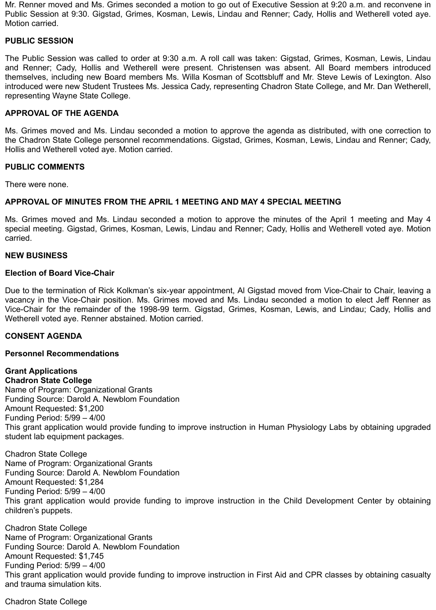Mr. Renner moved and Ms. Grimes seconded a motion to go out of Executive Session at 9:20 a.m. and reconvene in Public Session at 9:30. Gigstad, Grimes, Kosman, Lewis, Lindau and Renner; Cady, Hollis and Wetherell voted aye. Motion carried.

#### **PUBLIC SESSION**

The Public Session was called to order at 9:30 a.m. A roll call was taken: Gigstad, Grimes, Kosman, Lewis, Lindau and Renner; Cady, Hollis and Wetherell were present. Christensen was absent. All Board members introduced themselves, including new Board members Ms. Willa Kosman of Scottsbluff and Mr. Steve Lewis of Lexington. Also introduced were new Student Trustees Ms. Jessica Cady, representing Chadron State College, and Mr. Dan Wetherell, representing Wayne State College.

#### **APPROVAL OF THE AGENDA**

Ms. Grimes moved and Ms. Lindau seconded a motion to approve the agenda as distributed, with one correction to the Chadron State College personnel recommendations. Gigstad, Grimes, Kosman, Lewis, Lindau and Renner; Cady, Hollis and Wetherell voted aye. Motion carried.

#### **PUBLIC COMMENTS**

There were none.

### **APPROVAL OF MINUTES FROM THE APRIL 1 MEETING AND MAY 4 SPECIAL MEETING**

Ms. Grimes moved and Ms. Lindau seconded a motion to approve the minutes of the April 1 meeting and May 4 special meeting. Gigstad, Grimes, Kosman, Lewis, Lindau and Renner; Cady, Hollis and Wetherell voted aye. Motion carried.

#### **NEW BUSINESS**

#### **Election of Board Vice-Chair**

Due to the termination of Rick Kolkman's six-year appointment, Al Gigstad moved from Vice-Chair to Chair, leaving a vacancy in the Vice-Chair position. Ms. Grimes moved and Ms. Lindau seconded a motion to elect Jeff Renner as Vice-Chair for the remainder of the 1998-99 term. Gigstad, Grimes, Kosman, Lewis, and Lindau; Cady, Hollis and Wetherell voted aye. Renner abstained. Motion carried.

#### **CONSENT AGENDA**

#### **Personnel Recommendations**

#### **Grant Applications Chadron State College**

Name of Program: Organizational Grants Funding Source: Darold A. Newblom Foundation Amount Requested: \$1,200 Funding Period: 5/99 – 4/00 This grant application would provide funding to improve instruction in Human Physiology Labs by obtaining upgraded student lab equipment packages.

Chadron State College Name of Program: Organizational Grants Funding Source: Darold A. Newblom Foundation Amount Requested: \$1,284 Funding Period: 5/99 – 4/00 This grant application would provide funding to improve instruction in the Child Development Center by obtaining children's puppets.

Chadron State College Name of Program: Organizational Grants Funding Source: Darold A. Newblom Foundation Amount Requested: \$1,745 Funding Period: 5/99 – 4/00 This grant application would provide funding to improve instruction in First Aid and CPR classes by obtaining casualty and trauma simulation kits.

Chadron State College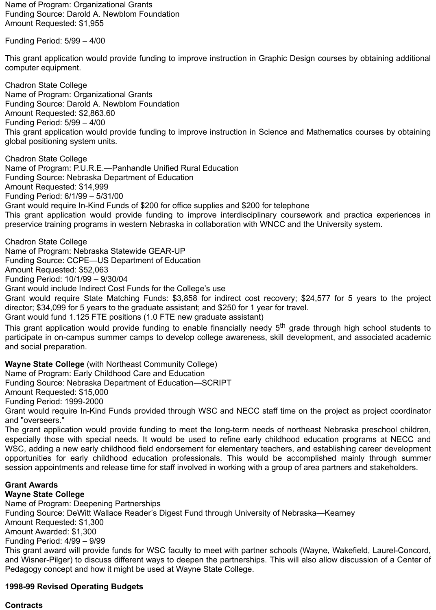Name of Program: Organizational Grants Funding Source: Darold A. Newblom Foundation Amount Requested: \$1,955

Funding Period: 5/99 – 4/00

This grant application would provide funding to improve instruction in Graphic Design courses by obtaining additional computer equipment.

Chadron State College Name of Program: Organizational Grants Funding Source: Darold A. Newblom Foundation Amount Requested: \$2,863.60 Funding Period: 5/99 – 4/00 This grant application would provide funding to improve instruction in Science and Mathematics courses by obtaining global positioning system units.

Chadron State College Name of Program: P.U.R.E.—Panhandle Unified Rural Education Funding Source: Nebraska Department of Education Amount Requested: \$14,999 Funding Period: 6/1/99 – 5/31/00 Grant would require In-Kind Funds of \$200 for office supplies and \$200 for telephone This grant application would provide funding to improve interdisciplinary coursework and practica experiences in preservice training programs in western Nebraska in collaboration with WNCC and the University system.

Chadron State College Name of Program: Nebraska Statewide GEAR-UP Funding Source: CCPE—US Department of Education Amount Requested: \$52,063 Funding Period: 10/1/99 – 9/30/04 Grant would include Indirect Cost Funds for the College's use

Grant would require State Matching Funds: \$3,858 for indirect cost recovery; \$24,577 for 5 years to the project director; \$34,099 for 5 years to the graduate assistant; and \$250 for 1 year for travel.

Grant would fund 1.125 FTE positions (1.0 FTE new graduate assistant)

This grant application would provide funding to enable financially needy 5<sup>th</sup> grade through high school students to participate in on-campus summer camps to develop college awareness, skill development, and associated academic and social preparation.

**Wayne State College** (with Northeast Community College)

Name of Program: Early Childhood Care and Education

Funding Source: Nebraska Department of Education—SCRIPT

Amount Requested: \$15,000

Funding Period: 1999-2000

Grant would require In-Kind Funds provided through WSC and NECC staff time on the project as project coordinator and "overseers."

The grant application would provide funding to meet the long-term needs of northeast Nebraska preschool children, especially those with special needs. It would be used to refine early childhood education programs at NECC and WSC, adding a new early childhood field endorsement for elementary teachers, and establishing career development opportunities for early childhood education professionals. This would be accomplished mainly through summer session appointments and release time for staff involved in working with a group of area partners and stakeholders.

# **Grant Awards**

**Wayne State College**

Name of Program: Deepening Partnerships Funding Source: DeWitt Wallace Reader's Digest Fund through University of Nebraska—Kearney Amount Requested: \$1,300 Amount Awarded: \$1,300 Funding Period: 4/99 – 9/99 This grant award will provide funds for WSC faculty to meet with partner schools (Wayne, Wakefield, Laurel-Concord, and Wisner-Pilger) to discuss different ways to deepen the partnerships. This will also allow discussion of a Center of Pedagogy concept and how it might be used at Wayne State College.

### **1998-99 Revised Operating Budgets**

### **Contracts**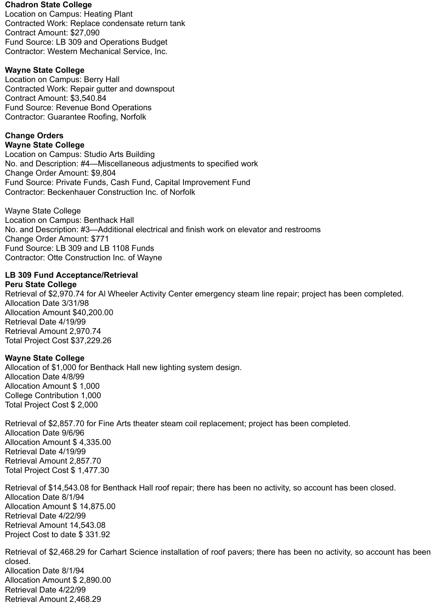#### **Chadron State College**

Location on Campus: Heating Plant Contracted Work: Replace condensate return tank Contract Amount: \$27,090 Fund Source: LB 309 and Operations Budget Contractor: Western Mechanical Service, Inc.

### **Wayne State College**

Location on Campus: Berry Hall Contracted Work: Repair gutter and downspout Contract Amount: \$3,540.84 Fund Source: Revenue Bond Operations Contractor: Guarantee Roofing, Norfolk

### **Change Orders**

**Wayne State College** 

Location on Campus: Studio Arts Building No. and Description: #4—Miscellaneous adjustments to specified work Change Order Amount: \$9,804 Fund Source: Private Funds, Cash Fund, Capital Improvement Fund Contractor: Beckenhauer Construction Inc. of Norfolk

Wayne State College Location on Campus: Benthack Hall No. and Description: #3—Additional electrical and finish work on elevator and restrooms Change Order Amount: \$771 Fund Source: LB 309 and LB 1108 Funds Contractor: Otte Construction Inc. of Wayne

### **LB 309 Fund Acceptance/Retrieval**

#### **Peru State College**

Retrieval of \$2,970.74 for Al Wheeler Activity Center emergency steam line repair; project has been completed. Allocation Date 3/31/98 Allocation Amount \$40,200.00 Retrieval Date 4/19/99 Retrieval Amount 2,970.74 Total Project Cost \$37,229.26

### **Wayne State College**

Allocation of \$1,000 for Benthack Hall new lighting system design. Allocation Date 4/8/99 Allocation Amount \$ 1,000 College Contribution 1,000 Total Project Cost \$ 2,000

Retrieval of \$2,857.70 for Fine Arts theater steam coil replacement; project has been completed. Allocation Date 9/6/96 Allocation Amount \$ 4,335.00 Retrieval Date 4/19/99 Retrieval Amount 2,857.70 Total Project Cost \$ 1,477.30

Retrieval of \$14,543.08 for Benthack Hall roof repair; there has been no activity, so account has been closed. Allocation Date 8/1/94 Allocation Amount \$ 14,875.00 Retrieval Date 4/22/99 Retrieval Amount 14,543.08 Project Cost to date \$ 331.92

Retrieval of \$2,468.29 for Carhart Science installation of roof pavers; there has been no activity, so account has been closed. Allocation Date 8/1/94 Allocation Amount \$ 2,890.00

Retrieval Date 4/22/99 Retrieval Amount 2,468.29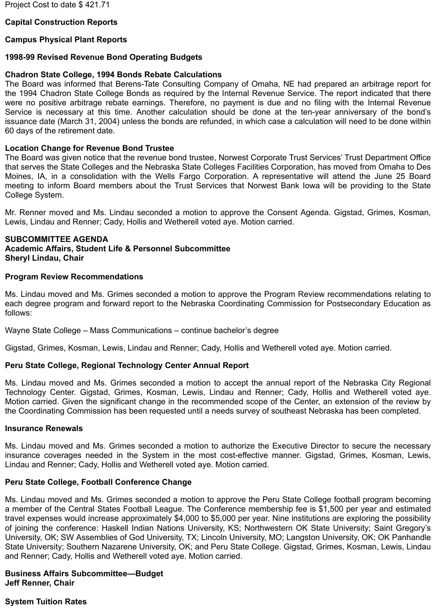### **Capital Construction Reports**

#### **Campus Physical Plant Reports**

#### **1998-99 Revised Revenue Bond Operating Budgets**

#### **Chadron State College, 1994 Bonds Rebate Calculations**

The Board was informed that Berens-Tate Consulting Company of Omaha, NE had prepared an arbitrage report for the 1994 Chadron State College Bonds as required by the Internal Revenue Service. The report indicated that there were no positive arbitrage rebate earnings. Therefore, no payment is due and no filing with the Internal Revenue Service is necessary at this time. Another calculation should be done at the ten-year anniversary of the bond's issuance date (March 31, 2004) unless the bonds are refunded, in which case a calculation will need to be done within 60 days of the retirement date.

#### **Location Change for Revenue Bond Trustee**

The Board was given notice that the revenue bond trustee, Norwest Corporate Trust Services' Trust Department Office that serves the State Colleges and the Nebraska State Colleges Facilities Corporation, has moved from Omaha to Des Moines, IA, in a consolidation with the Wells Fargo Corporation. A representative will attend the June 25 Board meeting to inform Board members about the Trust Services that Norwest Bank Iowa will be providing to the State College System.

Mr. Renner moved and Ms. Lindau seconded a motion to approve the Consent Agenda. Gigstad, Grimes, Kosman, Lewis, Lindau and Renner; Cady, Hollis and Wetherell voted aye. Motion carried.

#### **SUBCOMMITTEE AGENDA Academic Affairs, Student Life & Personnel Subcommittee Sheryl Lindau, Chair**

#### **Program Review Recommendations**

Ms. Lindau moved and Ms. Grimes seconded a motion to approve the Program Review recommendations relating to each degree program and forward report to the Nebraska Coordinating Commission for Postsecondary Education as follows:

Wayne State College – Mass Communications – continue bachelor's degree

Gigstad, Grimes, Kosman, Lewis, Lindau and Renner; Cady, Hollis and Wetherell voted aye. Motion carried.

### **Peru State College, Regional Technology Center Annual Report**

Ms. Lindau moved and Ms. Grimes seconded a motion to accept the annual report of the Nebraska City Regional Technology Center. Gigstad, Grimes, Kosman, Lewis, Lindau and Renner; Cady, Hollis and Wetherell voted aye. Motion carried. Given the significant change in the recommended scope of the Center, an extension of the review by the Coordinating Commission has been requested until a needs survey of southeast Nebraska has been completed.

#### **Insurance Renewals**

Ms. Lindau moved and Ms. Grimes seconded a motion to authorize the Executive Director to secure the necessary insurance coverages needed in the System in the most cost-effective manner. Gigstad, Grimes, Kosman, Lewis, Lindau and Renner; Cady, Hollis and Wetherell voted aye. Motion carried.

### **Peru State College, Football Conference Change**

Ms. Lindau moved and Ms. Grimes seconded a motion to approve the Peru State College football program becoming a member of the Central States Football League. The Conference membership fee is \$1,500 per year and estimated travel expenses would increase approximately \$4,000 to \$5,000 per year. Nine institutions are exploring the possibility of joining the conference: Haskell Indian Nations University, KS; Northwestern OK State University; Saint Gregory's University, OK; SW Assemblies of God University, TX; Lincoln University, MO; Langston University, OK; OK Panhandle State University; Southern Nazarene University, OK; and Peru State College. Gigstad, Grimes, Kosman, Lewis, Lindau and Renner; Cady, Hollis and Wetherell voted aye. Motion carried.

# **Business Affairs Subcommittee—Budget**

**Jeff Renner, Chair**

### **System Tuition Rates**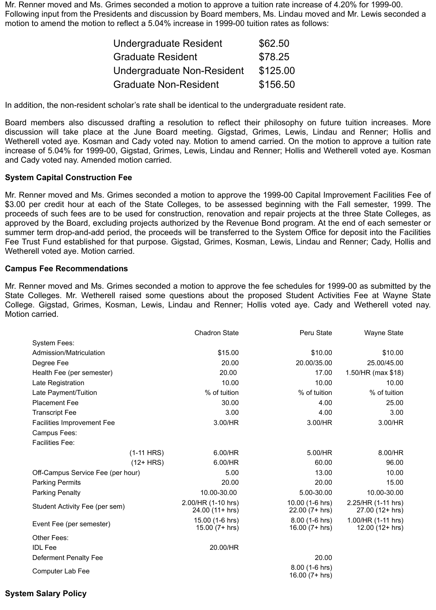Mr. Renner moved and Ms. Grimes seconded a motion to approve a tuition rate increase of 4.20% for 1999-00. Following input from the Presidents and discussion by Board members, Ms. Lindau moved and Mr. Lewis seconded a motion to amend the motion to reflect a 5.04% increase in 1999-00 tuition rates as follows:

| Undergraduate Resident       | \$62.50  |
|------------------------------|----------|
| <b>Graduate Resident</b>     | \$78.25  |
| Undergraduate Non-Resident   | \$125.00 |
| <b>Graduate Non-Resident</b> | \$156.50 |

In addition, the non-resident scholar's rate shall be identical to the undergraduate resident rate.

Board members also discussed drafting a resolution to reflect their philosophy on future tuition increases. More discussion will take place at the June Board meeting. Gigstad, Grimes, Lewis, Lindau and Renner; Hollis and Wetherell voted aye. Kosman and Cady voted nay. Motion to amend carried. On the motion to approve a tuition rate increase of 5.04% for 1999-00, Gigstad, Grimes, Lewis, Lindau and Renner; Hollis and Wetherell voted aye. Kosman and Cady voted nay. Amended motion carried.

#### **System Capital Construction Fee**

Mr. Renner moved and Ms. Grimes seconded a motion to approve the 1999-00 Capital Improvement Facilities Fee of \$3.00 per credit hour at each of the State Colleges, to be assessed beginning with the Fall semester, 1999. The proceeds of such fees are to be used for construction, renovation and repair projects at the three State Colleges, as approved by the Board, excluding projects authorized by the Revenue Bond program. At the end of each semester or summer term drop-and-add period, the proceeds will be transferred to the System Office for deposit into the Facilities Fee Trust Fund established for that purpose. Gigstad, Grimes, Kosman, Lewis, Lindau and Renner; Cady, Hollis and Wetherell voted aye. Motion carried.

#### **Campus Fee Recommendations**

Mr. Renner moved and Ms. Grimes seconded a motion to approve the fee schedules for 1999-00 as submitted by the State Colleges. Mr. Wetherell raised some questions about the proposed Student Activities Fee at Wayne State College. Gigstad, Grimes, Kosman, Lewis, Lindau and Renner; Hollis voted aye. Cady and Wetherell voted nay. Motion carried.

|                                   | <b>Chadron State</b>                  | Peru State                           | Wayne State                             |
|-----------------------------------|---------------------------------------|--------------------------------------|-----------------------------------------|
| <b>System Fees:</b>               |                                       |                                      |                                         |
| Admission/Matriculation           | \$15.00                               | \$10.00                              | \$10.00                                 |
| Degree Fee                        | 20.00                                 | 20.00/35.00                          | 25.00/45.00                             |
| Health Fee (per semester)         | 20.00                                 | 17.00                                | 1.50/HR (max \$18)                      |
| Late Registration                 | 10.00                                 | 10.00                                | 10.00                                   |
| Late Payment/Tuition              | % of tuition                          | % of tuition                         | % of tuition                            |
| <b>Placement Fee</b>              | 30.00                                 | 4.00                                 | 25.00                                   |
| <b>Transcript Fee</b>             | 3.00                                  | 4.00                                 | 3.00                                    |
| Facilities Improvement Fee        | 3.00/HR                               | 3.00/HR                              | 3.00/HR                                 |
| Campus Fees:                      |                                       |                                      |                                         |
| <b>Facilities Fee:</b>            |                                       |                                      |                                         |
| $(1-11$ HRS)                      | 6.00/HR                               | 5.00/HR                              | 8.00/HR                                 |
| $(12+HRS)$                        | 6.00/HR                               | 60.00                                | 96.00                                   |
| Off-Campus Service Fee (per hour) | 5.00                                  | 13.00                                | 10.00                                   |
| <b>Parking Permits</b>            | 20.00                                 | 20.00                                | 15.00                                   |
| <b>Parking Penalty</b>            | 10.00-30.00                           | 5.00-30.00                           | 10.00-30.00                             |
| Student Activity Fee (per sem)    | 2.00/HR (1-10 hrs)<br>24.00 (11+ hrs) | 10.00 (1-6 hrs)<br>$22.00(7 + hrs)$  | 2.25/HR (1-11 hrs)<br>27.00 (12+ hrs)   |
| Event Fee (per semester)          | 15.00 (1-6 hrs)<br>15.00 (7+ hrs)     | $8.00(1-6)$ hrs)<br>$16.00(7 + hrs)$ | 1.00/HR (1-11 hrs)<br>$12.00(12 + hrs)$ |
| Other Fees:                       |                                       |                                      |                                         |
| <b>IDL</b> Fee                    | 20.00/HR                              |                                      |                                         |
| Deferment Penalty Fee             |                                       | 20.00                                |                                         |
| <b>Computer Lab Fee</b>           |                                       | 8.00 (1-6 hrs)<br>16.00 (7+ hrs)     |                                         |

### **System Salary Policy**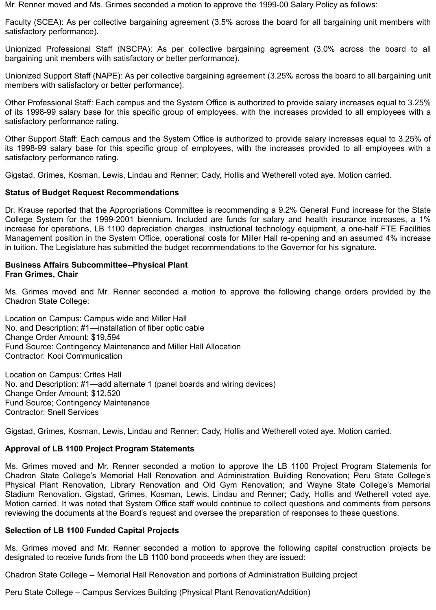Mr. Renner moved and Ms. Grimes seconded a motion to approve the 1999-00 Salary Policy as follows:

Faculty (SCEA): As per collective bargaining agreement (3.5% across the board for all bargaining unit members with satisfactory performance).

Unionized Professional Staff (NSCPA): As per collective bargaining agreement (3.0% across the board to all bargaining unit members with satisfactory or better performance).

Unionized Support Staff (NAPE): As per collective bargaining agreement (3.25% across the board to all bargaining unit members with satisfactory or better performance).

Other Professional Staff: Each campus and the System Office is authorized to provide salary increases equal to 3.25% of its 1998-99 salary base for this specific group of employees, with the increases provided to all employees with a satisfactory performance rating.

Other Support Staff: Each campus and the System Office is authorized to provide salary increases equal to 3.25% of its 1998-99 salary base for this specific group of employees, with the increases provided to all employees with a satisfactory performance rating.

Gigstad, Grimes, Kosman, Lewis, Lindau and Renner; Cady, Hollis and Wetherell voted aye. Motion carried.

### **Status of Budget Request Recommendations**

Dr. Krause reported that the Appropriations Committee is recommending a 9.2% General Fund increase for the State College System for the 1999-2001 biennium. Included are funds for salary and health insurance increases, a 1% increase for operations, LB 1100 depreciation charges, instructional technology equipment, a one-half FTE Facilities Management position in the System Office, operational costs for Miller Hall re-opening and an assumed 4% increase in tuition. The Legislature has submitted the budget recommendations to the Governor for his signature.

#### **Business Affairs Subcommittee--Physical Plant Fran Grimes, Chair**

Ms. Grimes moved and Mr. Renner seconded a motion to approve the following change orders provided by the Chadron State College:

Location on Campus: Campus wide and Miller Hall No. and Description: #1—installation of fiber optic cable Change Order Amount: \$19,594 Fund Source: Contingency Maintenance and Miller Hall Allocation Contractor: Kooi Communication

Location on Campus: Crites Hall No. and Description: #1—add alternate 1 (panel boards and wiring devices) Change Order Amount; \$12,520 Fund Source; Contingency Maintenance Contractor: Snell Services

Gigstad, Grimes, Kosman, Lewis, Lindau and Renner; Cady, Hollis and Wetherell voted aye. Motion carried.

# **Approval of LB 1100 Project Program Statements**

Ms. Grimes moved and Mr. Renner seconded a motion to approve the LB 1100 Project Program Statements for Chadron State College's Memorial Hall Renovation and Administration Building Renovation; Peru State College's Physical Plant Renovation, Library Renovation and Old Gym Renovation; and Wayne State College's Memorial Stadium Renovation. Gigstad, Grimes, Kosman, Lewis, Lindau and Renner; Cady, Hollis and Wetherell voted aye. Motion carried. It was noted that System Office staff would continue to collect questions and comments from persons reviewing the documents at the Board's request and oversee the preparation of responses to these questions.

### **Selection of LB 1100 Funded Capital Projects**

Ms. Grimes moved and Mr. Renner seconded a motion to approve the following capital construction projects be designated to receive funds from the LB 1100 bond proceeds when they are issued:

Chadron State College -- Memorial Hall Renovation and portions of Administration Building project

Peru State College – Campus Services Building (Physical Plant Renovation/Addition)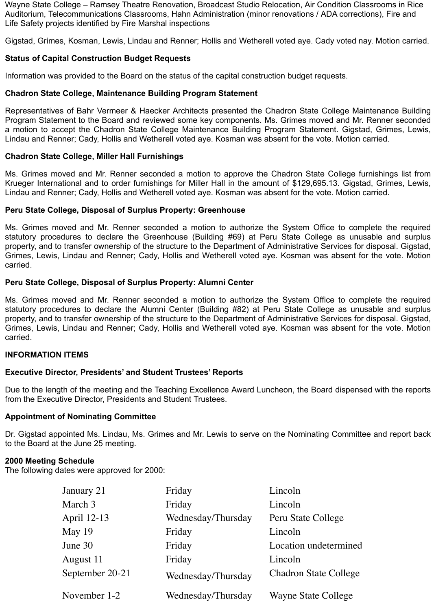Wayne State College – Ramsey Theatre Renovation, Broadcast Studio Relocation, Air Condition Classrooms in Rice Auditorium, Telecommunications Classrooms, Hahn Administration (minor renovations / ADA corrections), Fire and Life Safety projects identified by Fire Marshal inspections

Gigstad, Grimes, Kosman, Lewis, Lindau and Renner; Hollis and Wetherell voted aye. Cady voted nay. Motion carried.

### **Status of Capital Construction Budget Requests**

Information was provided to the Board on the status of the capital construction budget requests.

### **Chadron State College, Maintenance Building Program Statement**

Representatives of Bahr Vermeer & Haecker Architects presented the Chadron State College Maintenance Building Program Statement to the Board and reviewed some key components. Ms. Grimes moved and Mr. Renner seconded a motion to accept the Chadron State College Maintenance Building Program Statement. Gigstad, Grimes, Lewis, Lindau and Renner; Cady, Hollis and Wetherell voted aye. Kosman was absent for the vote. Motion carried.

### **Chadron State College, Miller Hall Furnishings**

Ms. Grimes moved and Mr. Renner seconded a motion to approve the Chadron State College furnishings list from Krueger International and to order furnishings for Miller Hall in the amount of \$129,695.13. Gigstad, Grimes, Lewis, Lindau and Renner; Cady, Hollis and Wetherell voted aye. Kosman was absent for the vote. Motion carried.

### **Peru State College, Disposal of Surplus Property: Greenhouse**

Ms. Grimes moved and Mr. Renner seconded a motion to authorize the System Office to complete the required statutory procedures to declare the Greenhouse (Building #69) at Peru State College as unusable and surplus property, and to transfer ownership of the structure to the Department of Administrative Services for disposal. Gigstad, Grimes, Lewis, Lindau and Renner; Cady, Hollis and Wetherell voted aye. Kosman was absent for the vote. Motion carried.

### **Peru State College, Disposal of Surplus Property: Alumni Center**

Ms. Grimes moved and Mr. Renner seconded a motion to authorize the System Office to complete the required statutory procedures to declare the Alumni Center (Building #82) at Peru State College as unusable and surplus property, and to transfer ownership of the structure to the Department of Administrative Services for disposal. Gigstad, Grimes, Lewis, Lindau and Renner; Cady, Hollis and Wetherell voted aye. Kosman was absent for the vote. Motion carried.

### **INFORMATION ITEMS**

# **Executive Director, Presidents' and Student Trustees' Reports**

Due to the length of the meeting and the Teaching Excellence Award Luncheon, the Board dispensed with the reports from the Executive Director, Presidents and Student Trustees.

# **Appointment of Nominating Committee**

Dr. Gigstad appointed Ms. Lindau, Ms. Grimes and Mr. Lewis to serve on the Nominating Committee and report back to the Board at the June 25 meeting.

# **2000 Meeting Schedule**

The following dates were approved for 2000:

| January 21      | Friday             | Lincoln                      |
|-----------------|--------------------|------------------------------|
| March 3         | Friday             | Lincoln                      |
| April 12-13     | Wednesday/Thursday | Peru State College           |
| May 19          | Friday             | Lincoln                      |
| June 30         | Friday             | Location undetermined        |
| August 11       | Friday             | Lincoln                      |
| September 20-21 | Wednesday/Thursday | <b>Chadron State College</b> |
| November 1-2    | Wednesday/Thursday | <b>Wayne State College</b>   |